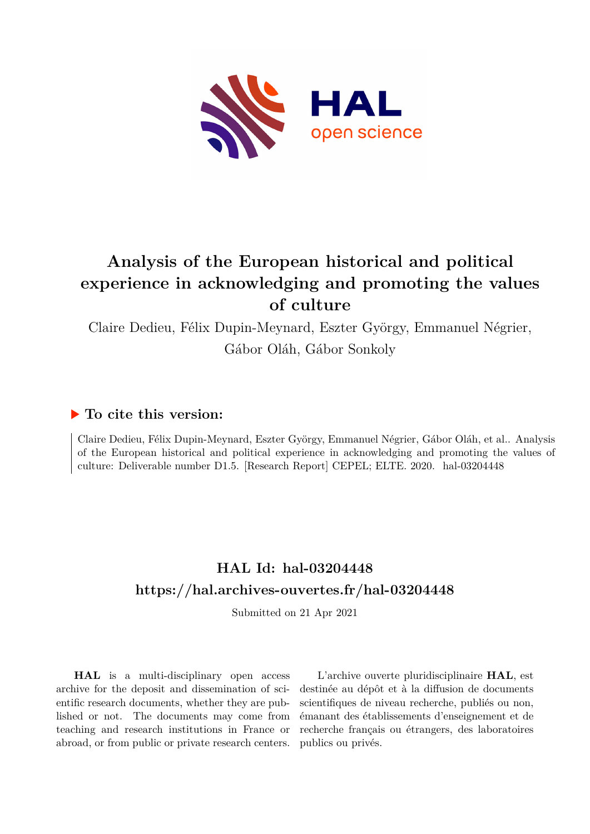

Claire Dedieu, Félix Dupin-Meynard, Eszter György, Emmanuel Négrier, Gábor Oláh, Gábor Sonkoly

# **To cite this version:**

Claire Dedieu, Félix Dupin-Meynard, Eszter György, Emmanuel Négrier, Gábor Oláh, et al.. Analysis of the European historical and political experience in acknowledging and promoting the values of culture: Deliverable number D1.5. [Research Report] CEPEL; ELTE. 2020. hal-03204448

# **HAL Id: hal-03204448 <https://hal.archives-ouvertes.fr/hal-03204448>**

Submitted on 21 Apr 2021

**HAL** is a multi-disciplinary open access archive for the deposit and dissemination of scientific research documents, whether they are published or not. The documents may come from teaching and research institutions in France or abroad, or from public or private research centers.

L'archive ouverte pluridisciplinaire **HAL**, est destinée au dépôt et à la diffusion de documents scientifiques de niveau recherche, publiés ou non, émanant des établissements d'enseignement et de recherche français ou étrangers, des laboratoires publics ou privés.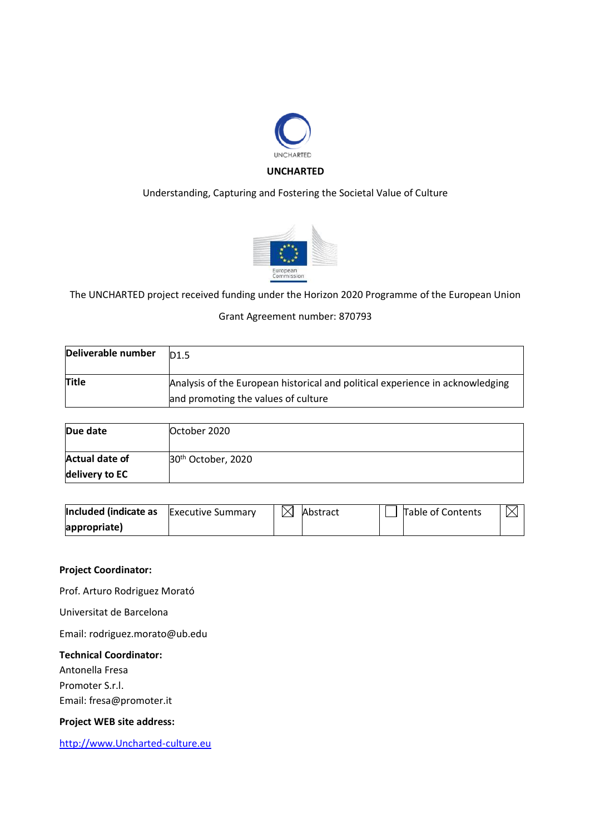

# Understanding, Capturing and Fostering the Societal Value of Culture



The UNCHARTED project received funding under the Horizon 2020 Programme of the European Union

### Grant Agreement number: 870793

| Deliverable number | D <sub>1.5</sub>                                                              |
|--------------------|-------------------------------------------------------------------------------|
| <b>Title</b>       | Analysis of the European historical and political experience in acknowledging |
|                    | and promoting the values of culture                                           |

| Due date              | October 2020                   |
|-----------------------|--------------------------------|
| <b>Actual date of</b> | 30 <sup>th</sup> October, 2020 |
| delivery to EC        |                                |

| Included (indicate as | <b>Executive Summary</b> | $\boxtimes$ | Abstract | Table of Contents |  |
|-----------------------|--------------------------|-------------|----------|-------------------|--|
| appropriate)          |                          |             |          |                   |  |

### **Project Coordinator:**

Prof. Arturo Rodriguez Morató

Universitat de Barcelona

Email: rodriguez.morato@ub.edu

### **Technical Coordinator:**

Antonella Fresa Promoter S.r.l. Email: fresa@promoter.it

## **Project WEB site address:**

[http://www.Uncharted-culture.eu](http://www.uncharted-culture.eu/)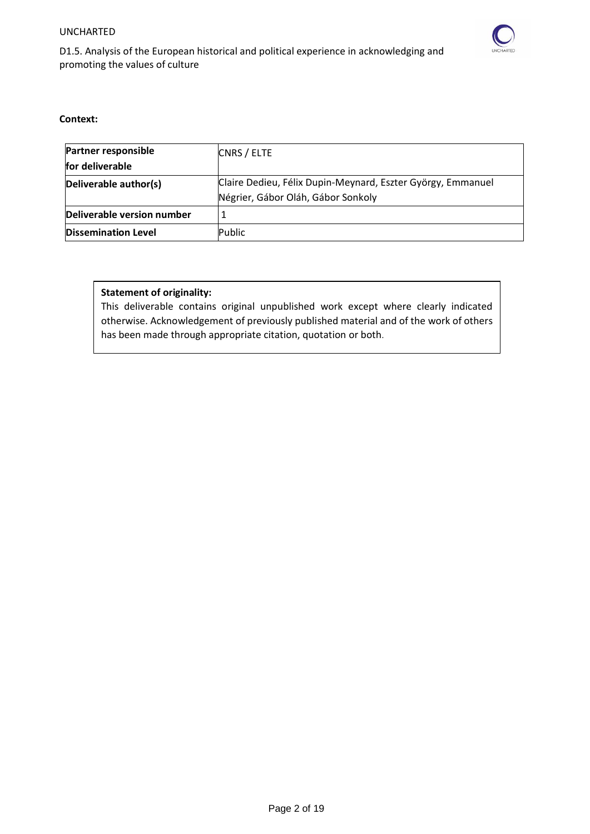

D1.5. Analysis of the European historical and political experience in acknowledging and promoting the values of culture

### **Context:**

| <b>Partner responsible</b> | CNRS / ELTE                                                 |
|----------------------------|-------------------------------------------------------------|
| for deliverable            |                                                             |
| Deliverable author(s)      | Claire Dedieu, Félix Dupin-Meynard, Eszter György, Emmanuel |
|                            | Négrier, Gábor Oláh, Gábor Sonkoly                          |
| Deliverable version number |                                                             |
| <b>Dissemination Level</b> | Public                                                      |

# **Statement of originality:**

This deliverable contains original unpublished work except where clearly indicated otherwise. Acknowledgement of previously published material and of the work of others has been made through appropriate citation, quotation or both.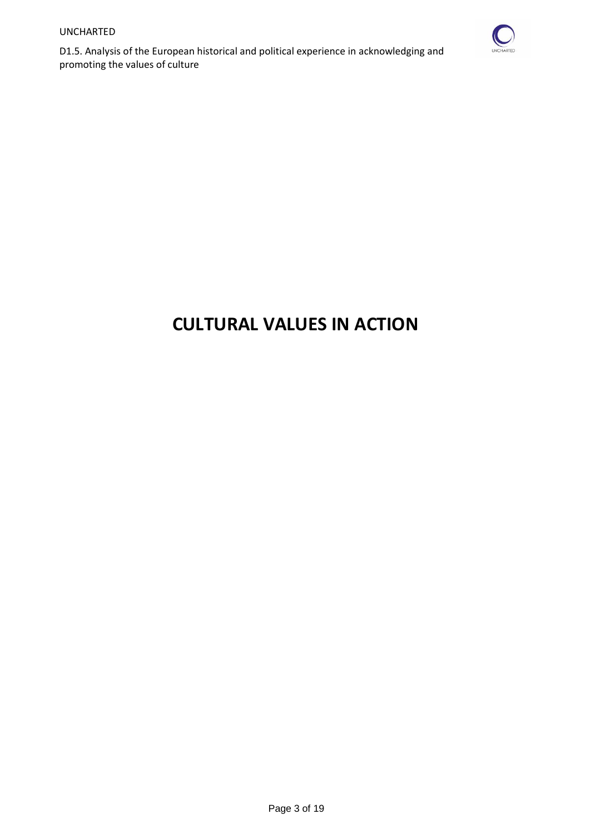

# **CULTURAL VALUES IN ACTION**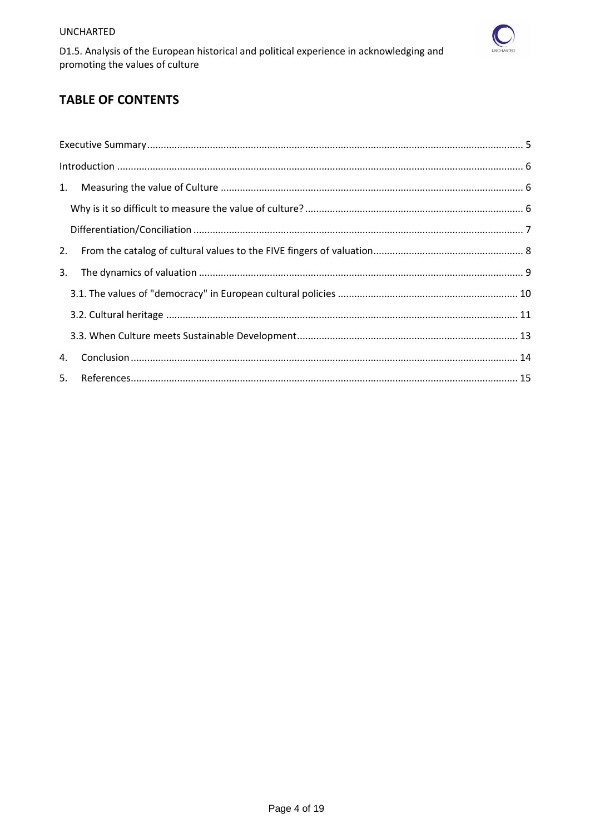

D1.5. Analysis of the European historical and political experience in acknowledging and promoting the values of culture

# **TABLE OF CONTENTS**

| 1. |  |
|----|--|
|    |  |
|    |  |
| 2. |  |
| 3. |  |
|    |  |
|    |  |
|    |  |
| 4. |  |
|    |  |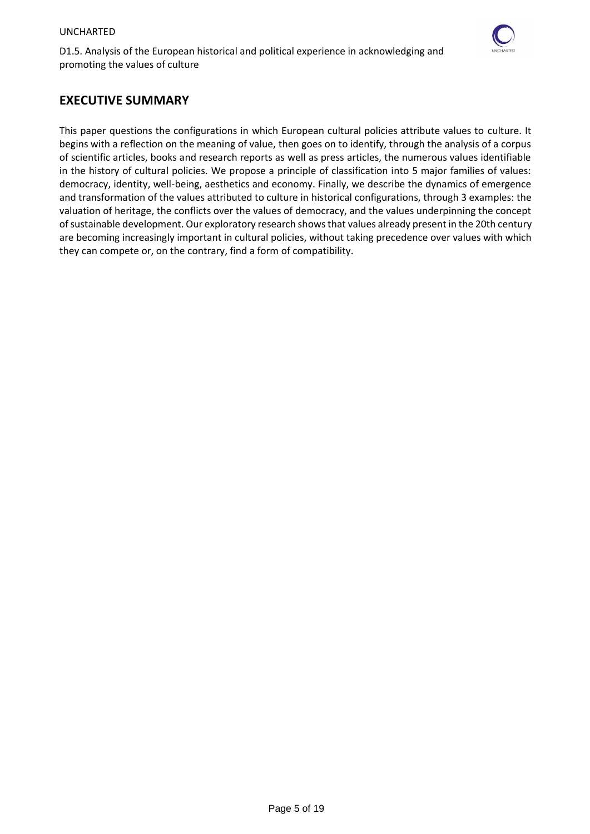

# <span id="page-5-0"></span>**EXECUTIVE SUMMARY**

This paper questions the configurations in which European cultural policies attribute values to culture. It begins with a reflection on the meaning of value, then goes on to identify, through the analysis of a corpus of scientific articles, books and research reports as well as press articles, the numerous values identifiable in the history of cultural policies. We propose a principle of classification into 5 major families of values: democracy, identity, well-being, aesthetics and economy. Finally, we describe the dynamics of emergence and transformation of the values attributed to culture in historical configurations, through 3 examples: the valuation of heritage, the conflicts over the values of democracy, and the values underpinning the concept of sustainable development. Our exploratory research shows that values already present in the 20th century are becoming increasingly important in cultural policies, without taking precedence over values with which they can compete or, on the contrary, find a form of compatibility.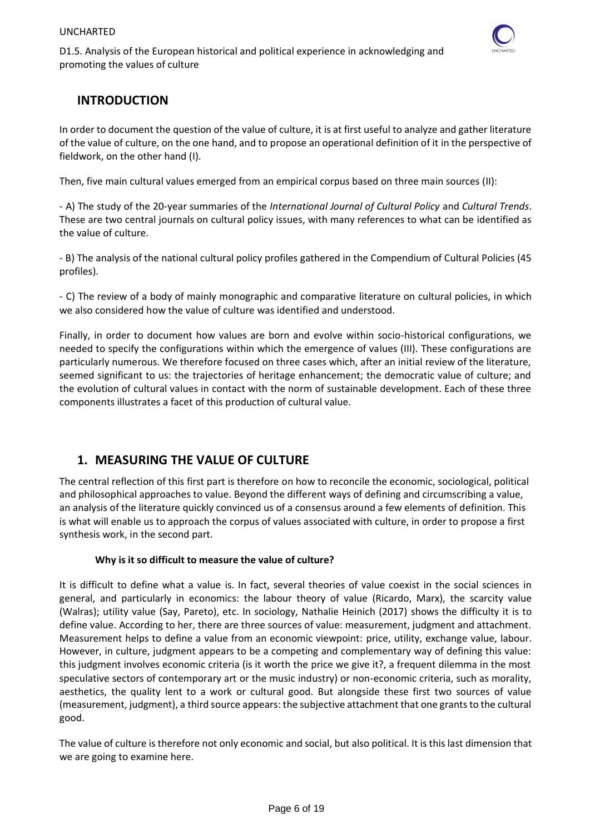

# <span id="page-6-0"></span>**INTRODUCTION**

In order to document the question of the value of culture, it is at first useful to analyze and gather literature of the value of culture, on the one hand, and to propose an operational definition of it in the perspective of fieldwork, on the other hand (I).

Then, five main cultural values emerged from an empirical corpus based on three main sources (II):

- A) The study of the 20-year summaries of the *International Journal of Cultural Policy* and *Cultural Trends*. These are two central journals on cultural policy issues, with many references to what can be identified as the value of culture.

- B) The analysis of the national cultural policy profiles gathered in the Compendium of Cultural Policies (45 profiles).

- C) The review of a body of mainly monographic and comparative literature on cultural policies, in which we also considered how the value of culture was identified and understood.

Finally, in order to document how values are born and evolve within socio-historical configurations, we needed to specify the configurations within which the emergence of values (III). These configurations are particularly numerous. We therefore focused on three cases which, after an initial review of the literature, seemed significant to us: the trajectories of heritage enhancement; the democratic value of culture; and the evolution of cultural values in contact with the norm of sustainable development. Each of these three components illustrates a facet of this production of cultural value.

# <span id="page-6-1"></span>**1. MEASURING THE VALUE OF CULTURE**

The central reflection of this first part is therefore on how to reconcile the economic, sociological, political and philosophical approaches to value. Beyond the different ways of defining and circumscribing a value, an analysis of the literature quickly convinced us of a consensus around a few elements of definition. This is what will enable us to approach the corpus of values associated with culture, in order to propose a first synthesis work, in the second part.

# **Why is it so difficult to measure the value of culture?**

<span id="page-6-2"></span>It is difficult to define what a value is. In fact, several theories of value coexist in the social sciences in general, and particularly in economics: the labour theory of value (Ricardo, Marx), the scarcity value (Walras); utility value (Say, Pareto), etc. In sociology, Nathalie Heinich (2017) shows the difficulty it is to define value. According to her, there are three sources of value: measurement, judgment and attachment. Measurement helps to define a value from an economic viewpoint: price, utility, exchange value, labour. However, in culture, judgment appears to be a competing and complementary way of defining this value: this judgment involves economic criteria (is it worth the price we give it?, a frequent dilemma in the most speculative sectors of contemporary art or the music industry) or non-economic criteria, such as morality, aesthetics, the quality lent to a work or cultural good. But alongside these first two sources of value (measurement, judgment), a third source appears: the subjective attachment that one grants to the cultural good.

The value of culture is therefore not only economic and social, but also political. It is this last dimension that we are going to examine here.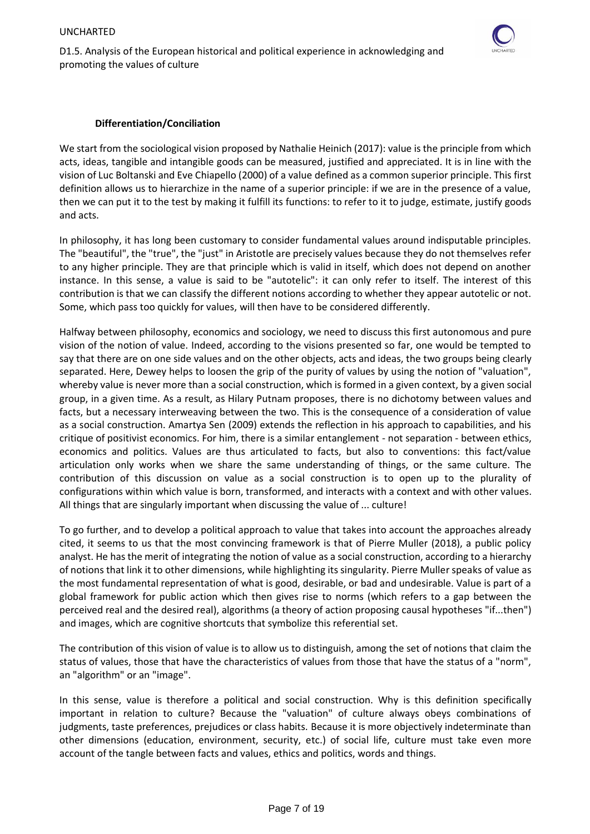

## **Differentiation/Conciliation**

<span id="page-7-0"></span>We start from the sociological vision proposed by Nathalie Heinich (2017): value is the principle from which acts, ideas, tangible and intangible goods can be measured, justified and appreciated. It is in line with the vision of Luc Boltanski and Eve Chiapello (2000) of a value defined as a common superior principle. This first definition allows us to hierarchize in the name of a superior principle: if we are in the presence of a value, then we can put it to the test by making it fulfill its functions: to refer to it to judge, estimate, justify goods and acts.

In philosophy, it has long been customary to consider fundamental values around indisputable principles. The "beautiful", the "true", the "just" in Aristotle are precisely values because they do not themselves refer to any higher principle. They are that principle which is valid in itself, which does not depend on another instance. In this sense, a value is said to be "autotelic": it can only refer to itself. The interest of this contribution is that we can classify the different notions according to whether they appear autotelic or not. Some, which pass too quickly for values, will then have to be considered differently.

Halfway between philosophy, economics and sociology, we need to discuss this first autonomous and pure vision of the notion of value. Indeed, according to the visions presented so far, one would be tempted to say that there are on one side values and on the other objects, acts and ideas, the two groups being clearly separated. Here, Dewey helps to loosen the grip of the purity of values by using the notion of "valuation", whereby value is never more than a social construction, which is formed in a given context, by a given social group, in a given time. As a result, as Hilary Putnam proposes, there is no dichotomy between values and facts, but a necessary interweaving between the two. This is the consequence of a consideration of value as a social construction. Amartya Sen (2009) extends the reflection in his approach to capabilities, and his critique of positivist economics. For him, there is a similar entanglement - not separation - between ethics, economics and politics. Values are thus articulated to facts, but also to conventions: this fact/value articulation only works when we share the same understanding of things, or the same culture. The contribution of this discussion on value as a social construction is to open up to the plurality of configurations within which value is born, transformed, and interacts with a context and with other values. All things that are singularly important when discussing the value of ... culture!

To go further, and to develop a political approach to value that takes into account the approaches already cited, it seems to us that the most convincing framework is that of Pierre Muller (2018), a public policy analyst. He has the merit of integrating the notion of value as a social construction, according to a hierarchy of notions that link it to other dimensions, while highlighting its singularity. Pierre Muller speaks of value as the most fundamental representation of what is good, desirable, or bad and undesirable. Value is part of a global framework for public action which then gives rise to norms (which refers to a gap between the perceived real and the desired real), algorithms (a theory of action proposing causal hypotheses "if...then") and images, which are cognitive shortcuts that symbolize this referential set.

The contribution of this vision of value is to allow us to distinguish, among the set of notions that claim the status of values, those that have the characteristics of values from those that have the status of a "norm", an "algorithm" or an "image".

In this sense, value is therefore a political and social construction. Why is this definition specifically important in relation to culture? Because the "valuation" of culture always obeys combinations of judgments, taste preferences, prejudices or class habits. Because it is more objectively indeterminate than other dimensions (education, environment, security, etc.) of social life, culture must take even more account of the tangle between facts and values, ethics and politics, words and things.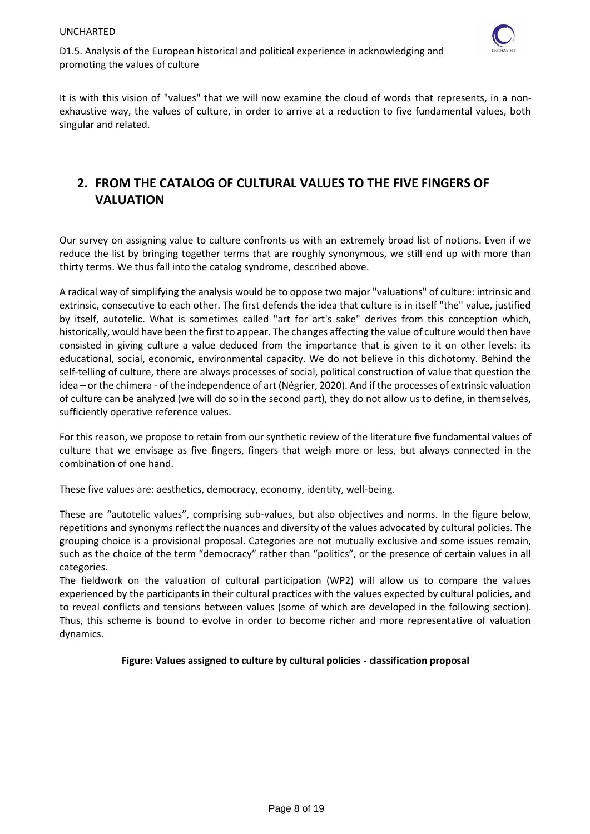

It is with this vision of "values" that we will now examine the cloud of words that represents, in a nonexhaustive way, the values of culture, in order to arrive at a reduction to five fundamental values, both singular and related.

# <span id="page-8-0"></span>**2. FROM THE CATALOG OF CULTURAL VALUES TO THE FIVE FINGERS OF VALUATION**

Our survey on assigning value to culture confronts us with an extremely broad list of notions. Even if we reduce the list by bringing together terms that are roughly synonymous, we still end up with more than thirty terms. We thus fall into the catalog syndrome, described above.

A radical way of simplifying the analysis would be to oppose two major "valuations" of culture: intrinsic and extrinsic, consecutive to each other. The first defends the idea that culture is in itself "the" value, justified by itself, autotelic. What is sometimes called "art for art's sake" derives from this conception which, historically, would have been the first to appear. The changes affecting the value of culture would then have consisted in giving culture a value deduced from the importance that is given to it on other levels: its educational, social, economic, environmental capacity. We do not believe in this dichotomy. Behind the self-telling of culture, there are always processes of social, political construction of value that question the idea – or the chimera - of the independence of art (Négrier, 2020). And if the processes of extrinsic valuation of culture can be analyzed (we will do so in the second part), they do not allow us to define, in themselves, sufficiently operative reference values.

For this reason, we propose to retain from our synthetic review of the literature five fundamental values of culture that we envisage as five fingers, fingers that weigh more or less, but always connected in the combination of one hand.

These five values are: aesthetics, democracy, economy, identity, well-being.

These are "autotelic values", comprising sub-values, but also objectives and norms. In the figure below, repetitions and synonyms reflect the nuances and diversity of the values advocated by cultural policies. The grouping choice is a provisional proposal. Categories are not mutually exclusive and some issues remain, such as the choice of the term "democracy" rather than "politics", or the presence of certain values in all categories.

The fieldwork on the valuation of cultural participation (WP2) will allow us to compare the values experienced by the participants in their cultural practices with the values expected by cultural policies, and to reveal conflicts and tensions between values (some of which are developed in the following section). Thus, this scheme is bound to evolve in order to become richer and more representative of valuation dynamics.

# **Figure: Values assigned to culture by cultural policies - classification proposal**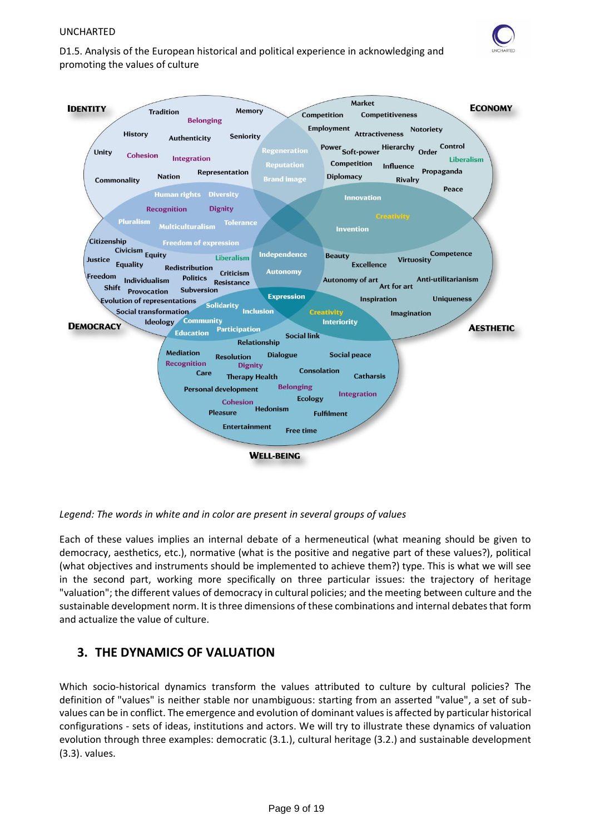

D1.5. Analysis of the European historical and political experience in acknowledging and promoting the values of culture



*Legend: The words in white and in color are present in several groups of values*

Each of these values implies an internal debate of a hermeneutical (what meaning should be given to democracy, aesthetics, etc.), normative (what is the positive and negative part of these values?), political (what objectives and instruments should be implemented to achieve them?) type. This is what we will see in the second part, working more specifically on three particular issues: the trajectory of heritage "valuation"; the different values of democracy in cultural policies; and the meeting between culture and the sustainable development norm. It is three dimensions of these combinations and internal debates that form and actualize the value of culture.

# <span id="page-9-0"></span>**3. THE DYNAMICS OF VALUATION**

Which socio-historical dynamics transform the values attributed to culture by cultural policies? The definition of "values" is neither stable nor unambiguous: starting from an asserted "value", a set of subvalues can be in conflict. The emergence and evolution of dominant values is affected by particular historical configurations - sets of ideas, institutions and actors. We will try to illustrate these dynamics of valuation evolution through three examples: democratic (3.1.), cultural heritage (3.2.) and sustainable development (3.3). values.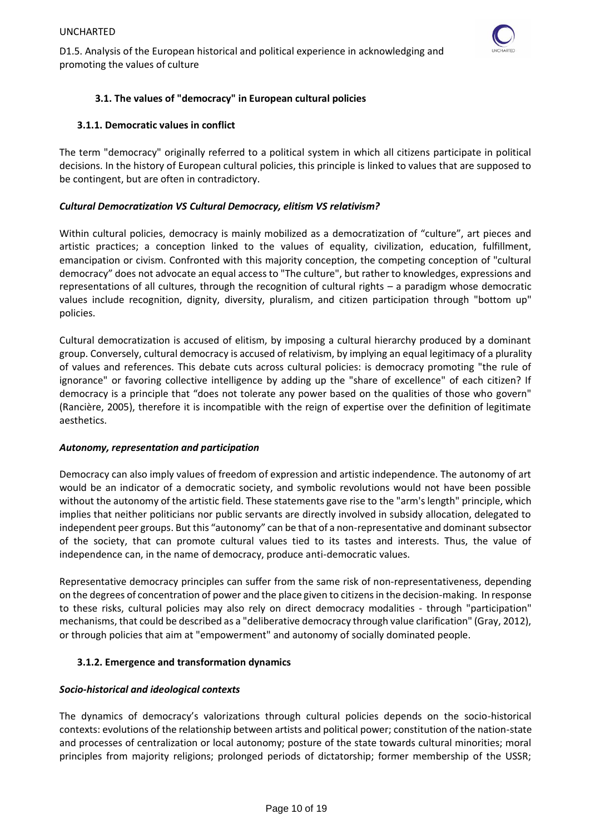

# **3.1. The values of "democracy" in European cultural policies**

# <span id="page-10-0"></span>**3.1.1. Democratic values in conflict**

The term "democracy" originally referred to a political system in which all citizens participate in political decisions. In the history of European cultural policies, this principle is linked to values that are supposed to be contingent, but are often in contradictory.

# *Cultural Democratization VS Cultural Democracy, elitism VS relativism?*

Within cultural policies, democracy is mainly mobilized as a democratization of "culture", art pieces and artistic practices; a conception linked to the values of equality, civilization, education, fulfillment, emancipation or civism. Confronted with this majority conception, the competing conception of "cultural democracy" does not advocate an equal access to "The culture", but rather to knowledges, expressions and representations of all cultures, through the recognition of cultural rights – a paradigm whose democratic values include recognition, dignity, diversity, pluralism, and citizen participation through "bottom up" policies.

Cultural democratization is accused of elitism, by imposing a cultural hierarchy produced by a dominant group. Conversely, cultural democracy is accused of relativism, by implying an equal legitimacy of a plurality of values and references. This debate cuts across cultural policies: is democracy promoting "the rule of ignorance" or favoring collective intelligence by adding up the "share of excellence" of each citizen? If democracy is a principle that "does not tolerate any power based on the qualities of those who govern" (Rancière, 2005), therefore it is incompatible with the reign of expertise over the definition of legitimate aesthetics.

# *Autonomy, representation and participation*

Democracy can also imply values of freedom of expression and artistic independence. The autonomy of art would be an indicator of a democratic society, and symbolic revolutions would not have been possible without the autonomy of the artistic field. These statements gave rise to the "arm's length" principle, which implies that neither politicians nor public servants are directly involved in subsidy allocation, delegated to independent peer groups. But this "autonomy" can be that of a non-representative and dominant subsector of the society, that can promote cultural values tied to its tastes and interests. Thus, the value of independence can, in the name of democracy, produce anti-democratic values.

Representative democracy principles can suffer from the same risk of non-representativeness, depending on the degrees of concentration of power and the place given to citizensin the decision-making. In response to these risks, cultural policies may also rely on direct democracy modalities - through "participation" mechanisms, that could be described as a "deliberative democracy through value clarification" (Gray, 2012), or through policies that aim at "empowerment" and autonomy of socially dominated people.

# **3.1.2. Emergence and transformation dynamics**

# *Socio-historical and ideological contexts*

The dynamics of democracy's valorizations through cultural policies depends on the socio-historical contexts: evolutions of the relationship between artists and political power; constitution of the nation-state and processes of centralization or local autonomy; posture of the state towards cultural minorities; moral principles from majority religions; prolonged periods of dictatorship; former membership of the USSR;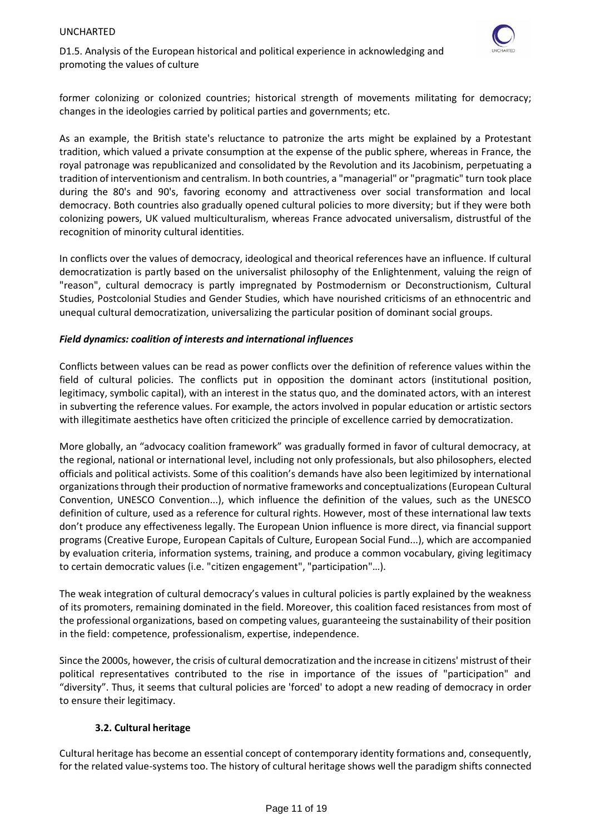

D1.5. Analysis of the European historical and political experience in acknowledging and promoting the values of culture

former colonizing or colonized countries; historical strength of movements militating for democracy; changes in the ideologies carried by political parties and governments; etc.

As an example, the British state's reluctance to patronize the arts might be explained by a Protestant tradition, which valued a private consumption at the expense of the public sphere, whereas in France, the royal patronage was republicanized and consolidated by the Revolution and its Jacobinism, perpetuating a tradition of interventionism and centralism. In both countries, a "managerial" or "pragmatic" turn took place during the 80's and 90's, favoring economy and attractiveness over social transformation and local democracy. Both countries also gradually opened cultural policies to more diversity; but if they were both colonizing powers, UK valued multiculturalism, whereas France advocated universalism, distrustful of the recognition of minority cultural identities.

In conflicts over the values of democracy, ideological and theorical references have an influence. If cultural democratization is partly based on the universalist philosophy of the Enlightenment, valuing the reign of "reason", cultural democracy is partly impregnated by Postmodernism or Deconstructionism, Cultural Studies, Postcolonial Studies and Gender Studies, which have nourished criticisms of an ethnocentric and unequal cultural democratization, universalizing the particular position of dominant social groups.

### *Field dynamics: coalition of interests and international influences*

Conflicts between values can be read as power conflicts over the definition of reference values within the field of cultural policies. The conflicts put in opposition the dominant actors (institutional position, legitimacy, symbolic capital), with an interest in the status quo, and the dominated actors, with an interest in subverting the reference values. For example, the actors involved in popular education or artistic sectors with illegitimate aesthetics have often criticized the principle of excellence carried by democratization.

More globally, an "advocacy coalition framework" was gradually formed in favor of cultural democracy, at the regional, national or international level, including not only professionals, but also philosophers, elected officials and political activists. Some of this coalition's demands have also been legitimized by international organizations through their production of normative frameworks and conceptualizations (European Cultural Convention, UNESCO Convention...), which influence the definition of the values, such as the UNESCO definition of culture, used as a reference for cultural rights. However, most of these international law texts don't produce any effectiveness legally. The European Union influence is more direct, via financial support programs (Creative Europe, European Capitals of Culture, European Social Fund...), which are accompanied by evaluation criteria, information systems, training, and produce a common vocabulary, giving legitimacy to certain democratic values (i.e. "citizen engagement", "participation"…).

The weak integration of cultural democracy's values in cultural policies is partly explained by the weakness of its promoters, remaining dominated in the field. Moreover, this coalition faced resistances from most of the professional organizations, based on competing values, guaranteeing the sustainability of their position in the field: competence, professionalism, expertise, independence.

Since the 2000s, however, the crisis of cultural democratization and the increase in citizens' mistrust of their political representatives contributed to the rise in importance of the issues of "participation" and "diversity". Thus, it seems that cultural policies are 'forced' to adopt a new reading of democracy in order to ensure their legitimacy.

### **3.2. Cultural heritage**

<span id="page-11-0"></span>Cultural heritage has become an essential concept of contemporary identity formations and, consequently, for the related value-systems too. The history of cultural heritage shows well the paradigm shifts connected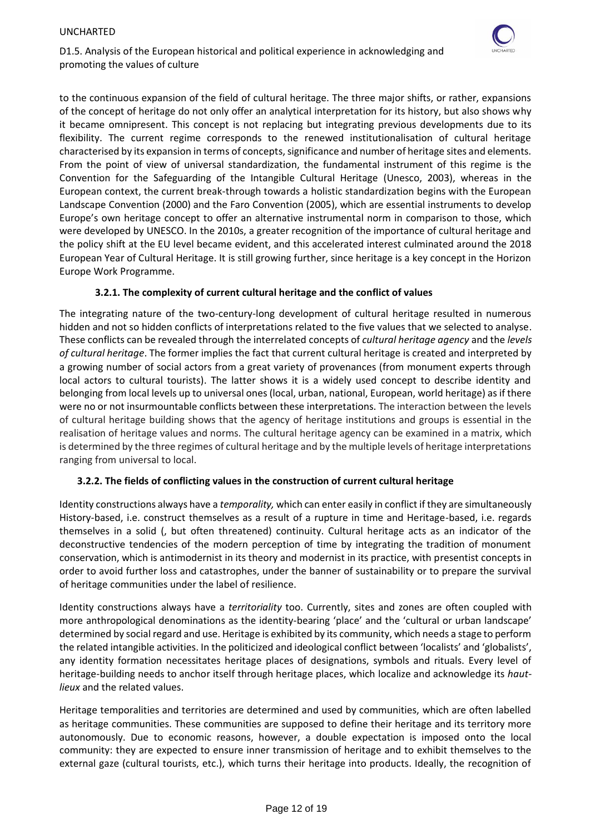

D1.5. Analysis of the European historical and political experience in acknowledging and promoting the values of culture

to the continuous expansion of the field of cultural heritage. The three major shifts, or rather, expansions of the concept of heritage do not only offer an analytical interpretation for its history, but also shows why it became omnipresent. This concept is not replacing but integrating previous developments due to its flexibility. The current regime corresponds to the renewed institutionalisation of cultural heritage characterised by its expansion in terms of concepts, significance and number of heritage sites and elements. From the point of view of universal standardization, the fundamental instrument of this regime is the Convention for the Safeguarding of the Intangible Cultural Heritage (Unesco, 2003), whereas in the European context, the current break-through towards a holistic standardization begins with the European Landscape Convention (2000) and the Faro Convention (2005), which are essential instruments to develop Europe's own heritage concept to offer an alternative instrumental norm in comparison to those, which were developed by UNESCO. In the 2010s, a greater recognition of the importance of cultural heritage and the policy shift at the EU level became evident, and this accelerated interest culminated around the 2018 European Year of Cultural Heritage. It is still growing further, since heritage is a key concept in the Horizon Europe Work Programme.

## **3.2.1. The complexity of current cultural heritage and the conflict of values**

The integrating nature of the two-century-long development of cultural heritage resulted in numerous hidden and not so hidden conflicts of interpretations related to the five values that we selected to analyse. These conflicts can be revealed through the interrelated concepts of *cultural heritage agency* and the *levels of cultural heritage*. The former implies the fact that current cultural heritage is created and interpreted by a growing number of social actors from a great variety of provenances (from monument experts through local actors to cultural tourists). The latter shows it is a widely used concept to describe identity and belonging from local levels up to universal ones (local, urban, national, European, world heritage) as if there were no or not insurmountable conflicts between these interpretations. The interaction between the levels of cultural heritage building shows that the agency of heritage institutions and groups is essential in the realisation of heritage values and norms. The cultural heritage agency can be examined in a matrix, which is determined by the three regimes of cultural heritage and by the multiple levels of heritage interpretations ranging from universal to local.

# **3.2.2. The fields of conflicting values in the construction of current cultural heritage**

Identity constructions always have a *temporality,* which can enter easily in conflict if they are simultaneously History-based, i.e. construct themselves as a result of a rupture in time and Heritage-based, i.e. regards themselves in a solid (, but often threatened) continuity. Cultural heritage acts as an indicator of the deconstructive tendencies of the modern perception of time by integrating the tradition of monument conservation, which is antimodernist in its theory and modernist in its practice, with presentist concepts in order to avoid further loss and catastrophes, under the banner of sustainability or to prepare the survival of heritage communities under the label of resilience.

Identity constructions always have a *territoriality* too. Currently, sites and zones are often coupled with more anthropological denominations as the identity-bearing 'place' and the 'cultural or urban landscape' determined by social regard and use. Heritage is exhibited by its community, which needs a stage to perform the related intangible activities. In the politicized and ideological conflict between 'localists' and 'globalists', any identity formation necessitates heritage places of designations, symbols and rituals. Every level of heritage-building needs to anchor itself through heritage places, which localize and acknowledge its *hautlieux* and the related values.

Heritage temporalities and territories are determined and used by communities, which are often labelled as heritage communities. These communities are supposed to define their heritage and its territory more autonomously. Due to economic reasons, however, a double expectation is imposed onto the local community: they are expected to ensure inner transmission of heritage and to exhibit themselves to the external gaze (cultural tourists, etc.), which turns their heritage into products. Ideally, the recognition of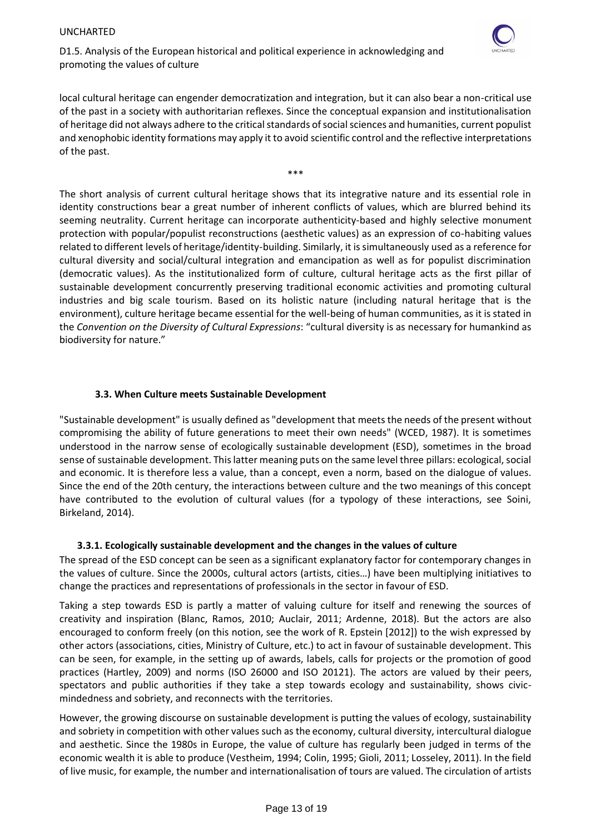

D1.5. Analysis of the European historical and political experience in acknowledging and promoting the values of culture

local cultural heritage can engender democratization and integration, but it can also bear a non-critical use of the past in a society with authoritarian reflexes. Since the conceptual expansion and institutionalisation of heritage did not always adhere to the critical standards of social sciences and humanities, current populist and xenophobic identity formations may apply it to avoid scientific control and the reflective interpretations of the past.

\*\*\*

The short analysis of current cultural heritage shows that its integrative nature and its essential role in identity constructions bear a great number of inherent conflicts of values, which are blurred behind its seeming neutrality. Current heritage can incorporate authenticity-based and highly selective monument protection with popular/populist reconstructions (aesthetic values) as an expression of co-habiting values related to different levels of heritage/identity-building. Similarly, it is simultaneously used as a reference for cultural diversity and social/cultural integration and emancipation as well as for populist discrimination (democratic values). As the institutionalized form of culture, cultural heritage acts as the first pillar of sustainable development concurrently preserving traditional economic activities and promoting cultural industries and big scale tourism. Based on its holistic nature (including natural heritage that is the environment), culture heritage became essential for the well-being of human communities, as it is stated in the *Convention on the Diversity of Cultural Expressions*: "cultural diversity is as necessary for humankind as biodiversity for nature."

## **3.3. When Culture meets Sustainable Development**

<span id="page-13-0"></span>"Sustainable development" is usually defined as "development that meets the needs of the present without compromising the ability of future generations to meet their own needs" (WCED, 1987). It is sometimes understood in the narrow sense of ecologically sustainable development (ESD), sometimes in the broad sense of sustainable development. This latter meaning puts on the same level three pillars: ecological, social and economic. It is therefore less a value, than a concept, even a norm, based on the dialogue of values. Since the end of the 20th century, the interactions between culture and the two meanings of this concept have contributed to the evolution of cultural values (for a typology of these interactions, see Soini, Birkeland, 2014).

### **3.3.1. Ecologically sustainable development and the changes in the values of culture**

The spread of the ESD concept can be seen as a significant explanatory factor for contemporary changes in the values of culture. Since the 2000s, cultural actors (artists, cities…) have been multiplying initiatives to change the practices and representations of professionals in the sector in favour of ESD.

Taking a step towards ESD is partly a matter of valuing culture for itself and renewing the sources of creativity and inspiration (Blanc, Ramos, 2010; Auclair, 2011; Ardenne, 2018). But the actors are also encouraged to conform freely (on this notion, see the work of R. Epstein [2012]) to the wish expressed by other actors (associations, cities, Ministry of Culture, etc.) to act in favour of sustainable development. This can be seen, for example, in the setting up of awards, labels, calls for projects or the promotion of good practices (Hartley, 2009) and norms (ISO 26000 and ISO 20121). The actors are valued by their peers, spectators and public authorities if they take a step towards ecology and sustainability, shows civicmindedness and sobriety, and reconnects with the territories.

However, the growing discourse on sustainable development is putting the values of ecology, sustainability and sobriety in competition with other values such as the economy, cultural diversity, intercultural dialogue and aesthetic. Since the 1980s in Europe, the value of culture has regularly been judged in terms of the economic wealth it is able to produce (Vestheim, 1994; Colin, 1995; Gioli, 2011; Losseley, 2011). In the field of live music, for example, the number and internationalisation of tours are valued. The circulation of artists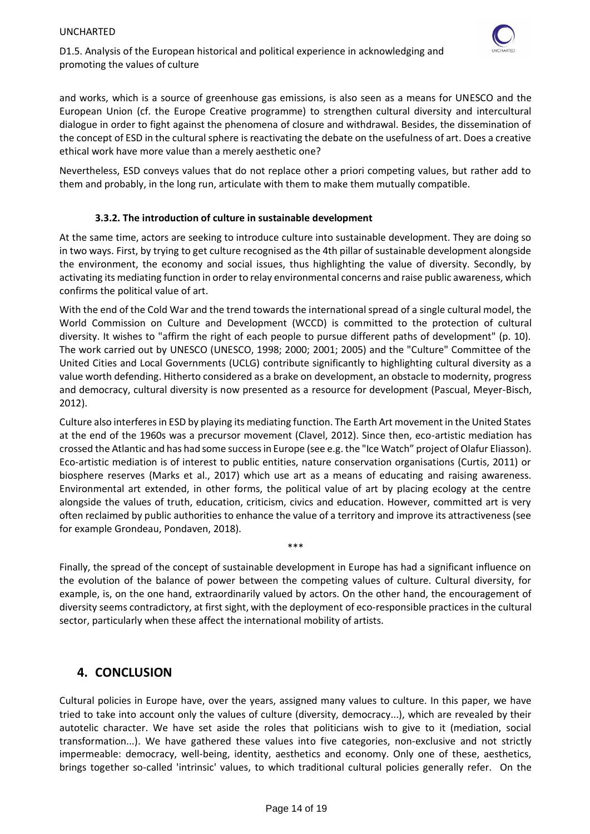

and works, which is a source of greenhouse gas emissions, is also seen as a means for UNESCO and the European Union (cf. the Europe Creative programme) to strengthen cultural diversity and intercultural dialogue in order to fight against the phenomena of closure and withdrawal. Besides, the dissemination of the concept of ESD in the cultural sphere is reactivating the debate on the usefulness of art. Does a creative ethical work have more value than a merely aesthetic one?

Nevertheless, ESD conveys values that do not replace other a priori competing values, but rather add to them and probably, in the long run, articulate with them to make them mutually compatible.

## **3.3.2. The introduction of culture in sustainable development**

At the same time, actors are seeking to introduce culture into sustainable development. They are doing so in two ways. First, by trying to get culture recognised as the 4th pillar of sustainable development alongside the environment, the economy and social issues, thus highlighting the value of diversity. Secondly, by activating its mediating function in order to relay environmental concerns and raise public awareness, which confirms the political value of art.

With the end of the Cold War and the trend towards the international spread of a single cultural model, the World Commission on Culture and Development (WCCD) is committed to the protection of cultural diversity. It wishes to "affirm the right of each people to pursue different paths of development" (p. 10). The work carried out by UNESCO (UNESCO, 1998; 2000; 2001; 2005) and the "Culture" Committee of the United Cities and Local Governments (UCLG) contribute significantly to highlighting cultural diversity as a value worth defending. Hitherto considered as a brake on development, an obstacle to modernity, progress and democracy, cultural diversity is now presented as a resource for development (Pascual, Meyer-Bisch, 2012).

Culture also interferes in ESD by playing its mediating function. The Earth Art movement in the United States at the end of the 1960s was a precursor movement (Clavel, 2012). Since then, eco-artistic mediation has crossed the Atlantic and has had some success in Europe (see e.g. the "Ice Watch" project of Olafur Eliasson). Eco-artistic mediation is of interest to public entities, nature conservation organisations (Curtis, 2011) or biosphere reserves (Marks et al., 2017) which use art as a means of educating and raising awareness. Environmental art extended, in other forms, the political value of art by placing ecology at the centre alongside the values of truth, education, criticism, civics and education. However, committed art is very often reclaimed by public authorities to enhance the value of a territory and improve its attractiveness (see for example Grondeau, Pondaven, 2018).

Finally, the spread of the concept of sustainable development in Europe has had a significant influence on the evolution of the balance of power between the competing values of culture. Cultural diversity, for example, is, on the one hand, extraordinarily valued by actors. On the other hand, the encouragement of diversity seems contradictory, at first sight, with the deployment of eco-responsible practices in the cultural sector, particularly when these affect the international mobility of artists.

\*\*\*

# <span id="page-14-0"></span>**4. CONCLUSION**

Cultural policies in Europe have, over the years, assigned many values to culture. In this paper, we have tried to take into account only the values of culture (diversity, democracy...), which are revealed by their autotelic character. We have set aside the roles that politicians wish to give to it (mediation, social transformation...). We have gathered these values into five categories, non-exclusive and not strictly impermeable: democracy, well-being, identity, aesthetics and economy. Only one of these, aesthetics, brings together so-called 'intrinsic' values, to which traditional cultural policies generally refer. On the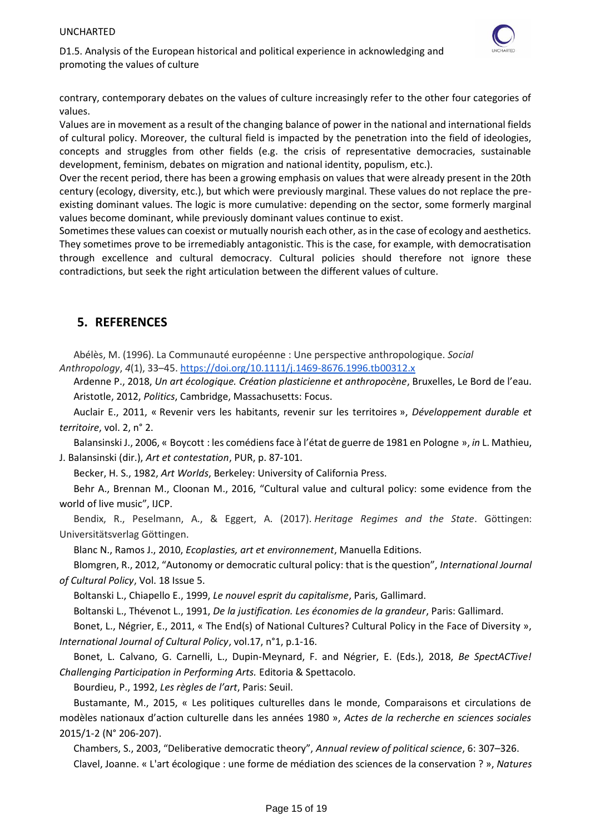

contrary, contemporary debates on the values of culture increasingly refer to the other four categories of values.

Values are in movement as a result of the changing balance of power in the national and international fields of cultural policy. Moreover, the cultural field is impacted by the penetration into the field of ideologies, concepts and struggles from other fields (e.g. the crisis of representative democracies, sustainable development, feminism, debates on migration and national identity, populism, etc.).

Over the recent period, there has been a growing emphasis on values that were already present in the 20th century (ecology, diversity, etc.), but which were previously marginal. These values do not replace the preexisting dominant values. The logic is more cumulative: depending on the sector, some formerly marginal values become dominant, while previously dominant values continue to exist.

Sometimes these values can coexist or mutually nourish each other, as in the case of ecology and aesthetics. They sometimes prove to be irremediably antagonistic. This is the case, for example, with democratisation through excellence and cultural democracy. Cultural policies should therefore not ignore these contradictions, but seek the right articulation between the different values of culture.

# <span id="page-15-0"></span>**5. REFERENCES**

Abélès, M. (1996). La Communauté européenne : Une perspective anthropologique. *Social Anthropology*, *4*(1), 33–45. <https://doi.org/10.1111/j.1469-8676.1996.tb00312.x>

Ardenne P., 2018, *Un art écologique. Création plasticienne et anthropocène*, Bruxelles, Le Bord de l'eau. Aristotle, 2012, *Politics*, Cambridge, Massachusetts: Focus.

Auclair E., 2011, « Revenir vers les habitants, revenir sur les territoires », *Développement durable et territoire*, vol. 2, n° 2.

Balansinski J., 2006, « Boycott : les comédiens face à l'état de guerre de 1981 en Pologne », *in* L. Mathieu, J. Balansinski (dir.), *Art et contestation*, PUR, p. 87-101.

Becker, H. S., 1982, *Art Worlds*, Berkeley: University of California Press.

Behr A., Brennan M., Cloonan M., 2016, "Cultural value and cultural policy: some evidence from the world of live music", IJCP.

Bendix, R., Peselmann, A., & Eggert, A. (2017). *Heritage Regimes and the State*. Göttingen: Universitätsverlag Göttingen.

Blanc N., Ramos J., 2010, *Ecoplasties, art et environnement*, Manuella Editions.

Blomgren, R., 2012, "Autonomy or democratic cultural policy: that is the question", *International Journal of Cultural Policy*, Vol. 18 Issue 5.

Boltanski L., Chiapello E., 1999, *Le nouvel esprit du capitalisme*, Paris, Gallimard.

Boltanski L., Thévenot L., 1991, *De la justification. Les économies de la grandeur*, Paris: Gallimard.

Bonet, L., Négrier, E., 2011, « The End(s) of National Cultures? Cultural Policy in the Face of Diversity », *International Journal of Cultural Policy*, vol.17, n°1, p.1-16.

Bonet, L. Calvano, G. Carnelli, L., Dupin-Meynard, F. and Négrier, E. (Eds.), 2018, *Be SpectACTive! Challenging Participation in Performing Arts.* Editoria & Spettacolo.

Bourdieu, P., 1992, *Les règles de l'art*, Paris: Seuil.

[Bustamante,](https://www.cairn.info/publications-de-Mauricio-Bustamante--133460.htm) M., 2015, « Les politiques culturelles dans le monde, Comparaisons et circulations de modèles nationaux d'action culturelle dans les années 1980 », *[Actes de la recherche en sciences sociales](https://www.cairn.info/revue-actes-de-la-recherche-en-sciences-sociales.htm)* [2015/1-2 \(N° 206-207\).](https://www.cairn.info/revue-actes-de-la-recherche-en-sciences-sociales-2015-1.htm)

Chambers, S., 2003, "Deliberative democratic theory", *Annual review of political science*, 6: 307–326. Clavel, Joanne. « L'art écologique : une forme de médiation des sciences de la conservation ? », *Natures*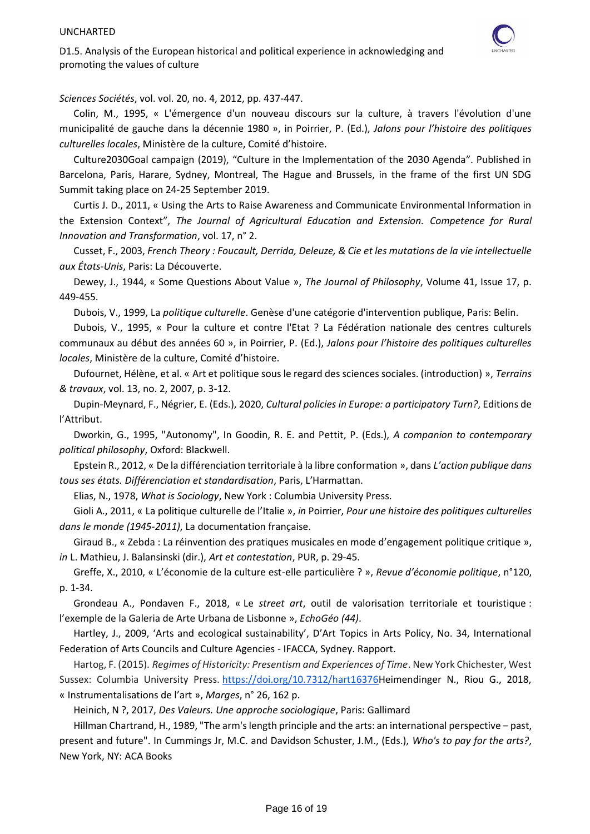

*Sciences Sociétés*, vol. vol. 20, no. 4, 2012, pp. 437-447.

Colin, M., 1995, « L'émergence d'un nouveau discours sur la culture, à travers l'évolution d'une municipalité de gauche dans la décennie 1980 », in Poirrier, P. (Ed.), *Jalons pour l'histoire des politiques culturelles locales*, Ministère de la culture, Comité d'histoire.

Culture2030Goal campaign (2019), "Culture in the Implementation of the 2030 Agenda". Published in Barcelona, Paris, Harare, Sydney, Montreal, The Hague and Brussels, in the frame of the first UN SDG Summit taking place on 24-25 September 2019.

Curtis J. D., 2011, « Using the Arts to Raise Awareness and Communicate Environmental Information in the Extension Context", *The Journal of Agricultural Education and Extension. Competence for Rural Innovation and Transformation*, vol. 17, n° 2.

[Cusset,](https://fr.wikipedia.org/wiki/Fran%C3%A7ois_Cusset) F., 2003, *French Theory : Foucault, Derrida, Deleuze, & Cie et les mutations de la vie intellectuelle aux États-Unis*, Paris: La Découverte.

Dewey, J., 1944, « Some Questions About Value », *The Journal of Philosophy*, Volume 41, Issue 17, p. 449-455.

Dubois, V., 1999, La *politique culturelle*. Genèse d'une catégorie d'intervention publique, Paris: Belin.

Dubois, V., 1995, « Pour la culture et contre l'Etat ? La Fédération nationale des centres culturels communaux au début des années 60 », in Poirrier, P. (Ed.), *Jalons pour l'histoire des politiques culturelles locales*, Ministère de la culture, Comité d'histoire.

Dufournet, Hélène, et al. « Art et politique sous le regard des sciences sociales. (introduction) », *Terrains & travaux*, vol. 13, no. 2, 2007, p. 3-12.

Dupin-Meynard, F., Négrier, E. (Eds.), 2020, *Cultural policies in Europe: a participatory Turn?*, Editions de l'Attribut.

Dworkin, G., 1995, "Autonomy", In Goodin, R. E. and Pettit, P. (Eds.), *A companion to contemporary political philosophy*, Oxford: Blackwell.

Epstein R., 2012, « De la différenciation territoriale à la libre conformation », dans *L'action publique dans tous ses états. Différenciation et standardisation*, Paris, L'Harmattan.

Elias, N., 1978, *What is Sociology*, New York : Columbia University Press.

Gioli A., 2011, « La politique culturelle de l'Italie », *in* Poirrier, *Pour une histoire des politiques culturelles dans le monde (1945-2011)*, La documentation française.

Giraud B., « Zebda : La réinvention des pratiques musicales en mode d'engagement politique critique », *in* L. Mathieu, J. Balansinski (dir.), *Art et contestation*, PUR, p. 29-45.

Greffe, X., 2010, « L'économie de la culture est-elle particulière ? », *Revue d'économie politique*, n°120, p. 1-34.

Grondeau A., Pondaven F., 2018, « Le *street art*, outil de valorisation territoriale et touristique : l'exemple de la Galeria de Arte Urbana de Lisbonne », *EchoGéo (44)*.

Hartley, J., 2009, 'Arts and ecological sustainability', D'Art Topics in Arts Policy, No. 34, International Federation of Arts Councils and Culture Agencies - IFACCA, Sydney. Rapport.

Hartog, F. (2015). *Regimes of Historicity: Presentism and Experiences of Time*. New York Chichester, West Sussex: Columbia University Press. [https://doi.org/10.7312/hart16376H](https://doi.org/10.7312/hart16376)eimendinger N., Riou G., 2018, « Instrumentalisations de l'art », *Marges*, n° 26, 162 p.

Heinich, N ?, 2017, *Des Valeurs. Une approche sociologique*, Paris: Gallimard

Hillman Chartrand, H., 1989, "The arm's length principle and the arts: an international perspective – past, present and future". In Cummings Jr, M.C. and Davidson Schuster, J.M., (Eds.), *Who's to pay for the arts?*, New York, NY: ACA Books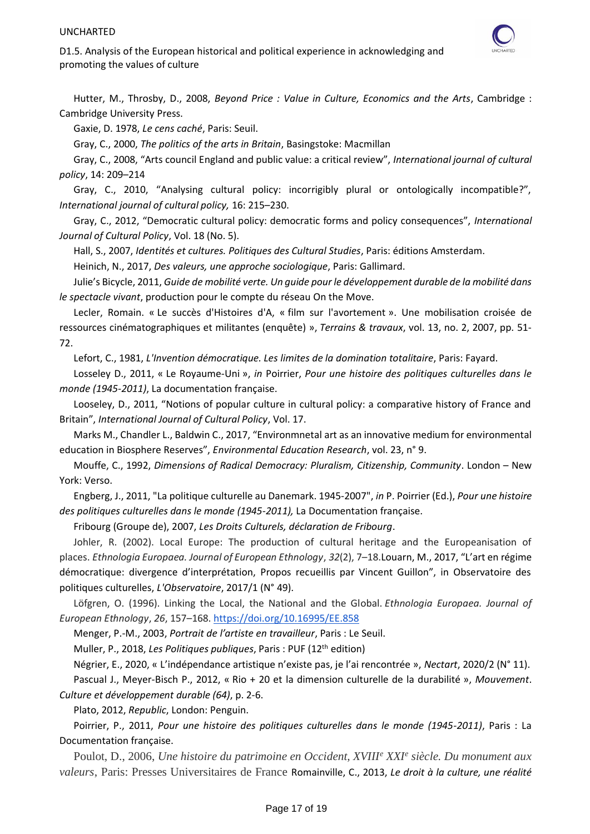

Hutter, M., Throsby, D., 2008, *Beyond Price : Value in Culture, Economics and the Arts*, Cambridge : Cambridge University Press.

Gaxie, D. 1978, *Le cens caché*, Paris: Seuil.

Gray, C., 2000, *The politics of the arts in Britain*, Basingstoke: Macmillan

Gray, C., 2008, "Arts council England and public value: a critical review", *International journal of cultural policy*, 14: 209–214

Gray, C., 2010, "Analysing cultural policy: incorrigibly plural or ontologically incompatible?", *International journal of cultural policy,* 16: 215–230.

Gray, C., 2012, "Democratic cultural policy: democratic forms and policy consequences", *International Journal of Cultural Policy*, Vol. 18 (No. 5).

Hall, S., 2007, *Identités et cultures. Politiques des Cultural Studies*, Paris: éditions Amsterdam.

Heinich, N., 2017, *Des valeurs, une approche sociologique*, Paris: Gallimard.

Julie's Bicycle, 2011, *Guide de mobilité verte. Un guide pour le développement durable de la mobilité dans le spectacle vivant*, production pour le compte du réseau On the Move.

Lecler, Romain. « Le succès d'Histoires d'A, « film sur l'avortement ». Une mobilisation croisée de ressources cinématographiques et militantes (enquête) », *Terrains & travaux*, vol. 13, no. 2, 2007, pp. 51- 72.

Lefort, C., 1981, *L'Invention démocratique. Les limites de la domination totalitaire*, Paris: Fayard.

Losseley D., 2011, « Le Royaume-Uni », *in* Poirrier, *Pour une histoire des politiques culturelles dans le monde (1945-2011)*, La documentation française.

Looseley, D., 2011, "Notions of popular culture in cultural policy: a comparative history of France and Britain", *International Journal of Cultural Policy*, Vol. 17.

Marks M., Chandler L., Baldwin C., 2017, "Environmnetal art as an innovative medium for environmental education in Biosphere Reserves", *Environmental Education Research*, vol. 23, n° 9.

Mouffe, C., 1992, *Dimensions of Radical Democracy: Pluralism, Citizenship, Community*. London – New York: Verso.

Engberg, J., 2011, "La politique culturelle au Danemark. 1945-2007", *in* P. Poirrier (Ed.), *Pour une histoire des politiques culturelles dans le monde (1945-2011),* La Documentation française.

Fribourg (Groupe de), 2007, *Les Droits Culturels, [déclaration de Fribourg](https://reseauculture21.fr/blog/2012/10/10/la-declaration-de-fribourg-2007/)*.

Johler, R. (2002). Local Europe: The production of cultural heritage and the Europeanisation of places. *Ethnologia Europaea. Journal of European Ethnology*, *32*(2), 7–18.Louarn, M., 2017, "L'art en régime démocratique: divergence d'interprétation, Propos recueillis par Vincent Guillon", in Observatoire des politiques culturelles, *L'Observatoire*, 2017/1 (N° 49).

Löfgren, O. (1996). Linking the Local, the National and the Global. *Ethnologia Europaea. Journal of European Ethnology*, *26*, 157–168. <https://doi.org/10.16995/EE.858>

Menger, P.-M., 2003, *Portrait de l'artiste en travailleur*, Paris : Le Seuil.

Muller, P., 2018, *Les Politiques publiques*, Paris : PUF (12th edition)

[Négrier](https://www.cairn.info/publications-de-Emmanuel-N%C3%A9grier--7718.htm), E., 2020, « L'indépendance artistique n'existe pas, je l'ai rencontrée », *[Nectart](https://www.cairn.info/revue-nectart.htm)*, [2020/2 \(N° 11\).](https://www.cairn.info/revue-nectart-2020-2.htm)

Pascual J., Meyer-Bisch P., 2012, « Rio + 20 et la dimension culturelle de la durabilité », *Mouvement*. *Culture et développement durable (64)*, p. 2-6.

Plato, 2012, *Republic*, London: Penguin.

Poirrier, P., 2011, *Pour une histoire des politiques culturelles dans le monde (1945-2011)*, Paris : La Documentation française.

Poulot, D., 2006, *Une histoire du patrimoine en Occident, XVIII<sup>e</sup> XXI<sup>e</sup> siècle. Du monument aux valeurs*, Paris: Presses Universitaires de France Romainville, C., 2013, *Le droit à la culture, une réalité*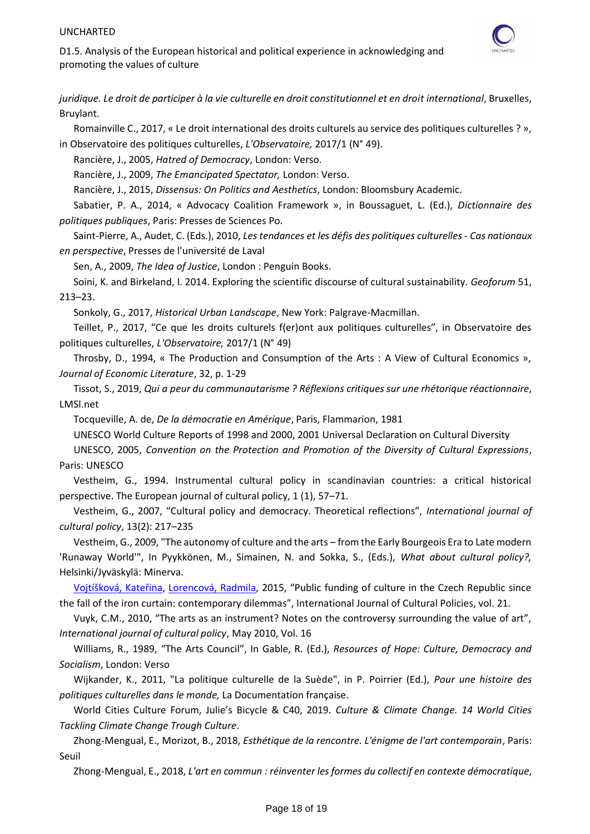

D1.5. Analysis of the European historical and political experience in acknowledging and promoting the values of culture

*juridique. Le droit de participer à la vie culturelle en droit constitutionnel et en droit international*, Bruxelles, Bruylant.

Romainville C., 2017, « Le droit international des droits culturels au service des politiques culturelles ? »,

in Observatoire des politiques culturelles, *L'Observatoire,* 2017/1 (N° 49).

Rancière, J., 2005, *[Hatred of Democracy](https://www.versobooks.com/books/1560-hatred-of-democracy)*, London: Verso.

Rancière, J., 2009, *The Emancipated Spectator,* London: Verso.

Rancière, J., 2015, *Dissensus: On Politics and Aesthetics*, London: Bloomsbury Academic.

Sabatier, P. A., 2014, « Advocacy Coalition Framework », in Boussaguet, L. (Ed.), *Dictionnaire des politiques publiques*, Paris: Presses de Sciences Po.

Saint-Pierre, A., Audet, C. (Eds.), 2010, *Les tendances et les défis des politiques culturelles - Cas nationaux en perspective*, Presses de l'université de Laval

Sen, A., 2009, *The Idea of Justice*, London : Penguin Books.

Soini, K. and Birkeland, I. 2014. Exploring the scientific discourse of cultural sustainability. *Geoforum* 51, 213–23.

Sonkoly, G., 2017, *Historical Urban Landscape*, New York: Palgrave-Macmillan.

Teillet, P., 2017, "Ce que les droits culturels f(er)ont aux politiques culturelles", in Observatoire des politiques culturelles, *L'Observatoire,* 2017/1 (N° 49)

Throsby, D., 1994, « The Production and Consumption of the Arts : A View of Cultural Economics », *Journal of Economic Literature*, 32, p. 1-29

Tissot, S., 2019, *Qui a peur du communautarisme ? Réflexions critiques sur une rhétorique réactionnaire*, LMSI.net

Tocqueville, A. de, *De la démocratie en Amérique*, Paris, Flammarion, 1981

UNESCO World Culture Reports of 1998 and 2000, 2001 Universal Declaration on Cultural Diversity

UNESCO, 2005, *Convention on the Protection and Promotion of the Diversity of Cultural Expressions*, Paris: UNESCO

Vestheim, G., 1994. Instrumental cultural policy in scandinavian countries: a critical historical perspective. The European journal of cultural policy, 1 (1), 57–71.

Vestheim, G., 2007, "Cultural policy and democracy. Theoretical reflections", *International journal of cultural policy*, 13(2): 217–235

Vestheim, G., 2009, "The autonomy of culture and the arts – from the Early Bourgeois Era to Late modern 'Runaway World'", In Pyykkönen, M., Simainen, N. and Sokka, S., (Eds.), *What about cultural policy?,*  Helsinki/Jyväskylä: Minerva.

[Vojtíšková,](javascript:__doLinkPostBack() Kateřina, [Lorencová,](javascript:__doLinkPostBack() Radmila, 2015, "Public funding of culture in the Czech Republic since the fall of the iron curtain: contemporary dilemmas", International Journal of Cultural Policies, vol. 21.

Vuyk, C.M., 2010, "The arts as an instrument? Notes on the controversy surrounding the value of art", *International journal of cultural policy*, May 2010, Vol. 16

Williams, R., 1989, "The Arts Council", In Gable, R. (Ed.), *Resources of Hope: Culture, Democracy and Socialism*, London: Verso

Wijkander, K., 2011, "La politique culturelle de la Suède", in P. Poirrier (Ed.), *Pour une histoire des politiques culturelles dans le monde,* La Documentation française.

World Cities Culture Forum, Julie's Bicycle & C40, 2019. *Culture & Climate Change. 14 World Cities Tackling Climate Change Trough Culture*.

Zhong-Mengual, E., Morizot, B., 2018, *Esthétique de la rencontre. L'énigme de l'art contemporain*, Paris: Seuil

Zhong-Mengual, E., 2018, *L'art en commun : réinventer les formes du collectif en contexte démocratique*,